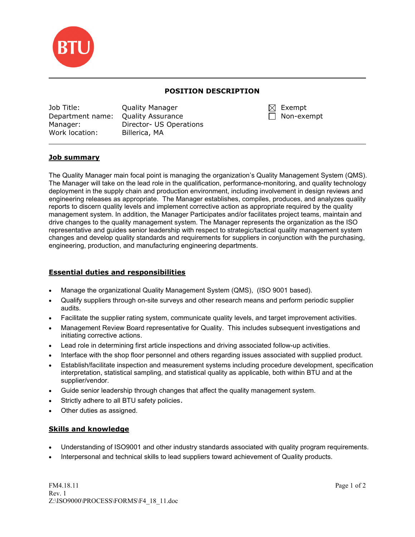

# POSITION DESCRIPTION

| Job Title:                         | <b>Quality Manager</b>  | $\boxtimes$ Exempt |
|------------------------------------|-------------------------|--------------------|
| Department name: Quality Assurance |                         | $\Box$ Non-exempt  |
| Manager:                           | Director- US Operations |                    |
| Work location:                     | Billerica, MA           |                    |

| $\boxtimes$ Exempt |
|--------------------|
| Non-exemp          |

# Job summary

 $\overline{\phantom{0}}$ 

The Quality Manager main focal point is managing the organization's Quality Management System (QMS). The Manager will take on the lead role in the qualification, performance-monitoring, and quality technology deployment in the supply chain and production environment, including involvement in design reviews and engineering releases as appropriate. The Manager establishes, compiles, produces, and analyzes quality reports to discern quality levels and implement corrective action as appropriate required by the quality management system. In addition, the Manager Participates and/or facilitates project teams, maintain and drive changes to the quality management system. The Manager represents the organization as the ISO representative and guides senior leadership with respect to strategic/tactical quality management system changes and develop quality standards and requirements for suppliers in conjunction with the purchasing, engineering, production, and manufacturing engineering departments.

# Essential duties and responsibilities

- Manage the organizational Quality Management System (QMS), (ISO 9001 based).
- Qualify suppliers through on-site surveys and other research means and perform periodic supplier audits.
- Facilitate the supplier rating system, communicate quality levels, and target improvement activities.
- Management Review Board representative for Quality. This includes subsequent investigations and initiating corrective actions.
- Lead role in determining first article inspections and driving associated follow-up activities.
- Interface with the shop floor personnel and others regarding issues associated with supplied product.
- Establish/facilitate inspection and measurement systems including procedure development, specification interpretation, statistical sampling, and statistical quality as applicable, both within BTU and at the supplier/vendor.
- Guide senior leadership through changes that affect the quality management system.
- Strictly adhere to all BTU safety policies.
- Other duties as assigned.

### Skills and knowledge

- Understanding of ISO9001 and other industry standards associated with quality program requirements.
- Interpersonal and technical skills to lead suppliers toward achievement of Quality products.